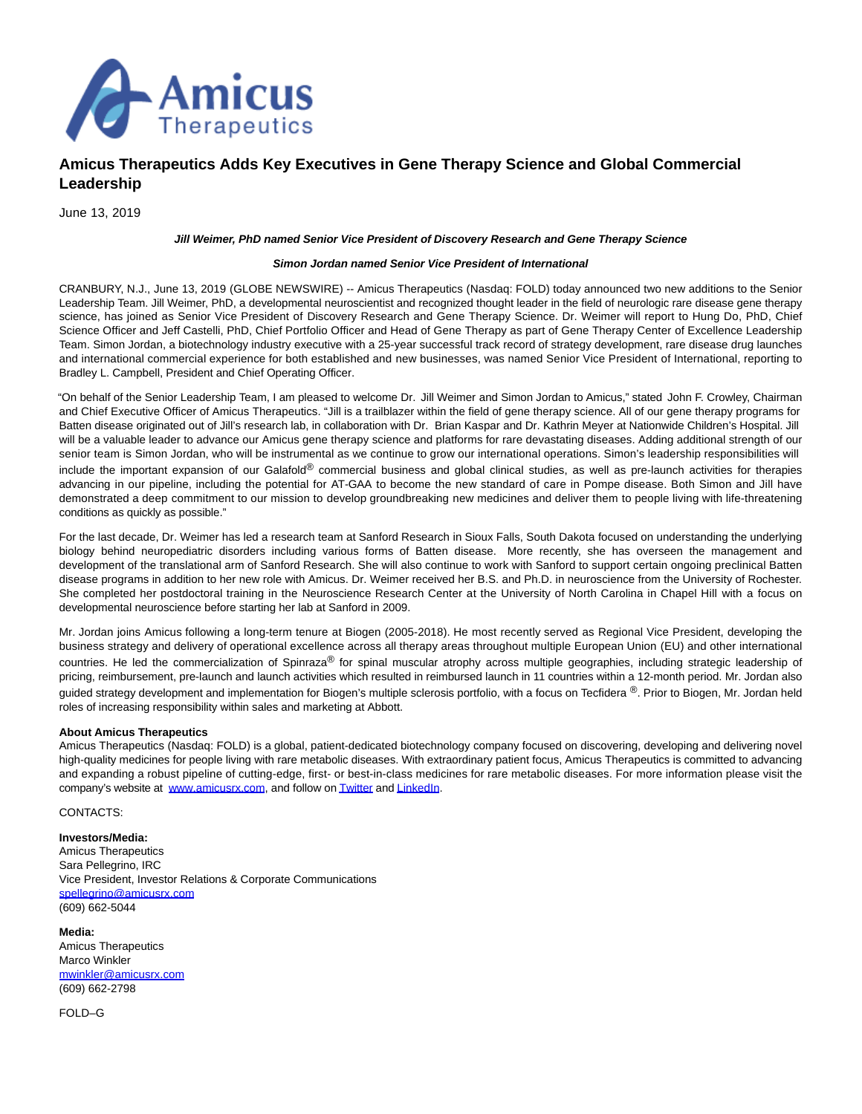

## **Amicus Therapeutics Adds Key Executives in Gene Therapy Science and Global Commercial Leadership**

June 13, 2019

## **Jill Weimer, PhD named Senior Vice President of Discovery Research and Gene Therapy Science**

## **Simon Jordan named Senior Vice President of International**

CRANBURY, N.J., June 13, 2019 (GLOBE NEWSWIRE) -- Amicus Therapeutics (Nasdaq: FOLD) today announced two new additions to the Senior Leadership Team. Jill Weimer, PhD, a developmental neuroscientist and recognized thought leader in the field of neurologic rare disease gene therapy science, has joined as Senior Vice President of Discovery Research and Gene Therapy Science. Dr. Weimer will report to Hung Do, PhD, Chief Science Officer and Jeff Castelli, PhD, Chief Portfolio Officer and Head of Gene Therapy as part of Gene Therapy Center of Excellence Leadership Team. Simon Jordan, a biotechnology industry executive with a 25-year successful track record of strategy development, rare disease drug launches and international commercial experience for both established and new businesses, was named Senior Vice President of International, reporting to Bradley L. Campbell, President and Chief Operating Officer.

"On behalf of the Senior Leadership Team, I am pleased to welcome Dr. Jill Weimer and Simon Jordan to Amicus," stated John F. Crowley, Chairman and Chief Executive Officer of Amicus Therapeutics. "Jill is a trailblazer within the field of gene therapy science. All of our gene therapy programs for Batten disease originated out of Jill's research lab, in collaboration with Dr. Brian Kaspar and Dr. Kathrin Meyer at Nationwide Children's Hospital. Jill will be a valuable leader to advance our Amicus gene therapy science and platforms for rare devastating diseases. Adding additional strength of our senior team is Simon Jordan, who will be instrumental as we continue to grow our international operations. Simon's leadership responsibilities will include the important expansion of our Galafold® commercial business and global clinical studies, as well as pre-launch activities for therapies advancing in our pipeline, including the potential for AT-GAA to become the new standard of care in Pompe disease. Both Simon and Jill have demonstrated a deep commitment to our mission to develop groundbreaking new medicines and deliver them to people living with life-threatening conditions as quickly as possible."

For the last decade, Dr. Weimer has led a research team at Sanford Research in Sioux Falls, South Dakota focused on understanding the underlying biology behind neuropediatric disorders including various forms of Batten disease. More recently, she has overseen the management and development of the translational arm of Sanford Research. She will also continue to work with Sanford to support certain ongoing preclinical Batten disease programs in addition to her new role with Amicus. Dr. Weimer received her B.S. and Ph.D. in neuroscience from the University of Rochester. She completed her postdoctoral training in the Neuroscience Research Center at the University of North Carolina in Chapel Hill with a focus on developmental neuroscience before starting her lab at Sanford in 2009.

Mr. Jordan joins Amicus following a long-term tenure at Biogen (2005-2018). He most recently served as Regional Vice President, developing the business strategy and delivery of operational excellence across all therapy areas throughout multiple European Union (EU) and other international countries. He led the commercialization of Spinraza® for spinal muscular atrophy across multiple geographies, including strategic leadership of pricing, reimbursement, pre-launch and launch activities which resulted in reimbursed launch in 11 countries within a 12-month period. Mr. Jordan also guided strategy development and implementation for Biogen's multiple sclerosis portfolio, with a focus on Tecfidera<sup>®</sup>. Prior to Biogen, Mr. Jordan held roles of increasing responsibility within sales and marketing at Abbott.

## **About Amicus Therapeutics**

Amicus Therapeutics (Nasdaq: FOLD) is a global, patient-dedicated biotechnology company focused on discovering, developing and delivering novel high-quality medicines for people living with rare metabolic diseases. With extraordinary patient focus, Amicus Therapeutics is committed to advancing and expanding a robust pipeline of cutting-edge, first- or best-in-class medicines for rare metabolic diseases. For more information please visit the company's website at [www.amicusrx.com,](https://www.globenewswire.com/Tracker?data=ylmx27tkSu1zTiARGUK8-xKNQjL0sCS9JoakAGax-oD2keuMgpEF45nzsYo-4wZ1fToycBLCSaYWe2o3thBDGQ==) and follow o[n Twitter a](https://www.globenewswire.com/Tracker?data=j__p-JEVMDrySuhvafUbVnbamfNpyeAzigd3qV5ZhIS6ndrgM_btKFTOuKNWGsWhZJroRUEO0-chGs1iXIsu_g==)n[d LinkedIn.](https://www.globenewswire.com/Tracker?data=o-S3Vd_1wDT2u8nnlt7gnd5s1SghZw1T1ctlevDC4BrVPGGbahk8DPrSql82boT39tG51FX5cohcngcIEhrrDCzYMsqCOZ3akLkrKVAkpiU5sT3C14oeXOvXoF4q3Zef)

CONTACTS:

**Investors/Media:** Amicus Therapeutics Sara Pellegrino, IRC Vice President, Investor Relations & Corporate Communications [spellegrino@amicusrx.com](https://www.globenewswire.com/Tracker?data=36BOCxupFzOioamtoSZlZJKVi1swyjrh1ApR2Nb0FgSiLIVWAljjVSFPoVWczc2MWBon1xuRzN9JyiXFZv0Kc0kjL4ScNaoO1JYVROeYXDk=) (609) 662-5044

**Media:** Amicus Therapeutics Marco Winkler [mwinkler@amicusrx.com](https://www.globenewswire.com/Tracker?data=eigs0XgGm9c6wACB1AcV4_3nQZp6kSkcVkpAd0UoqfMVujkItvkNuUMdWPviLnHfb8uwsb_Pkaa0dp4WoXAGPjuP8Y4GX8xwTRXBTxXBb5I=) (609) 662-2798

FOLD–G